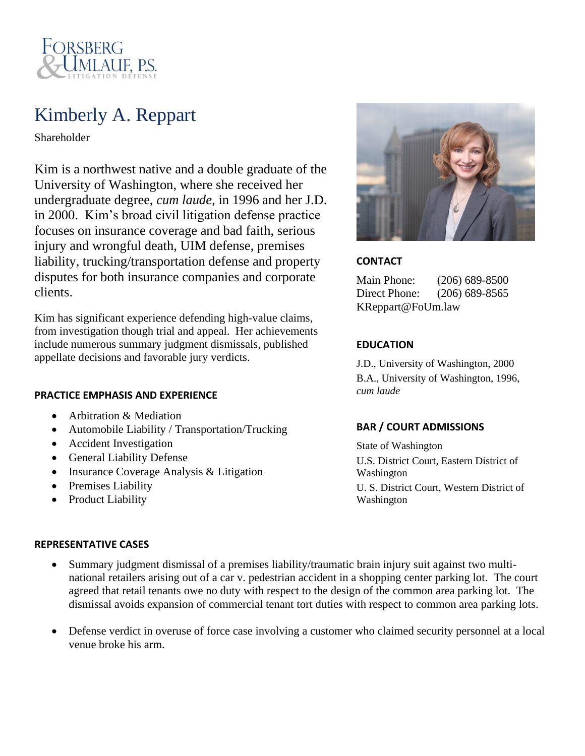

# Kimberly A. Reppart

Shareholder

Kim is a northwest native and a double graduate of the University of Washington, where she received her undergraduate degree, *cum laude,* in 1996 and her J.D. in 2000. Kim's broad civil litigation defense practice focuses on insurance coverage and bad faith, serious injury and wrongful death, UIM defense, premises liability, trucking/transportation defense and property disputes for both insurance companies and corporate clients.

Kim has significant experience defending high-value claims, from investigation though trial and appeal. Her achievements include numerous summary judgment dismissals, published appellate decisions and favorable jury verdicts.

#### **PRACTICE EMPHASIS AND EXPERIENCE**

- Arbitration & Mediation
- Automobile Liability / Transportation/Trucking
- Accident Investigation
- General Liability Defense
- Insurance Coverage Analysis & Litigation
- Premises Liability
- Product Liability

#### **REPRESENTATIVE CASES**



### **CONTACT**

Main Phone: (206) 689-8500 Direct Phone: (206) 689-8565 KReppart@FoUm.law

### **EDUCATION**

J.D., University of Washington, 2000 B.A., University of Washington, 1996, *cum laude*

## **BAR / COURT ADMISSIONS**

State of Washington U.S. District Court, Eastern District of Washington U. S. District Court, Western District of Washington

- Summary judgment dismissal of a premises liability/traumatic brain injury suit against two multinational retailers arising out of a car v. pedestrian accident in a shopping center parking lot. The court agreed that retail tenants owe no duty with respect to the design of the common area parking lot. The dismissal avoids expansion of commercial tenant tort duties with respect to common area parking lots.
- Defense verdict in overuse of force case involving a customer who claimed security personnel at a local venue broke his arm.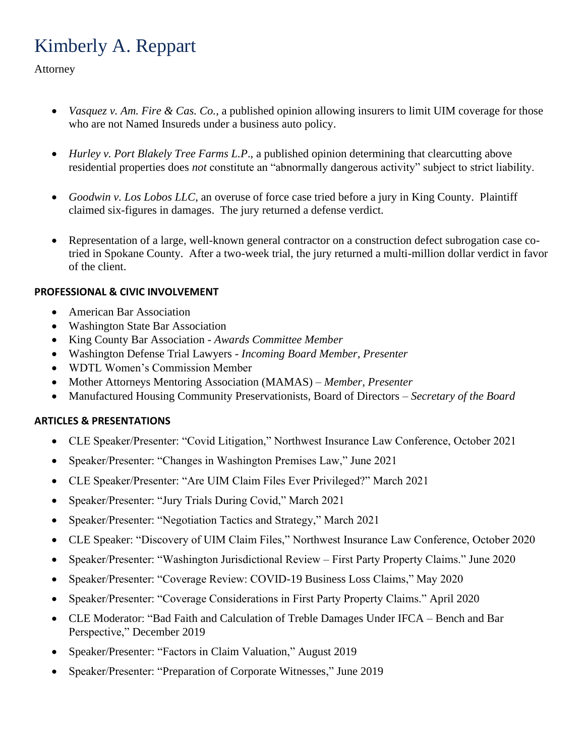# Kimberly A. Reppart

Attorney

- *Vasquez v. Am. Fire & Cas. Co.*, a published opinion allowing insurers to limit UIM coverage for those who are not Named Insureds under a business auto policy.
- *Hurley v. Port Blakely Tree Farms L.P.*, a published opinion determining that clearcutting above residential properties does *not* constitute an "abnormally dangerous activity" subject to strict liability.
- *Goodwin v. Los Lobos LLC*, an overuse of force case tried before a jury in King County. Plaintiff claimed six-figures in damages. The jury returned a defense verdict.
- Representation of a large, well-known general contractor on a construction defect subrogation case cotried in Spokane County. After a two-week trial, the jury returned a multi-million dollar verdict in favor of the client.

# **PROFESSIONAL & CIVIC INVOLVEMENT**

- American Bar Association
- Washington State Bar Association
- King County Bar Association *Awards Committee Member*
- Washington Defense Trial Lawyers *Incoming Board Member, Presenter*
- WDTL Women's Commission Member
- Mother Attorneys Mentoring Association (MAMAS) *Member, Presenter*
- Manufactured Housing Community Preservationists, Board of Directors *Secretary of the Board*

## **ARTICLES & PRESENTATIONS**

- CLE Speaker/Presenter: "Covid Litigation," Northwest Insurance Law Conference, October 2021
- Speaker/Presenter: "Changes in Washington Premises Law," June 2021
- CLE Speaker/Presenter: "Are UIM Claim Files Ever Privileged?" March 2021
- Speaker/Presenter: "Jury Trials During Covid," March 2021
- Speaker/Presenter: "Negotiation Tactics and Strategy," March 2021
- CLE Speaker: "Discovery of UIM Claim Files," Northwest Insurance Law Conference, October 2020
- Speaker/Presenter: "Washington Jurisdictional Review First Party Property Claims." June 2020
- Speaker/Presenter: "Coverage Review: COVID-19 Business Loss Claims," May 2020
- Speaker/Presenter: "Coverage Considerations in First Party Property Claims." April 2020
- CLE Moderator: "Bad Faith and Calculation of Treble Damages Under IFCA Bench and Bar Perspective," December 2019
- Speaker/Presenter: "Factors in Claim Valuation," August 2019
- Speaker/Presenter: "Preparation of Corporate Witnesses," June 2019